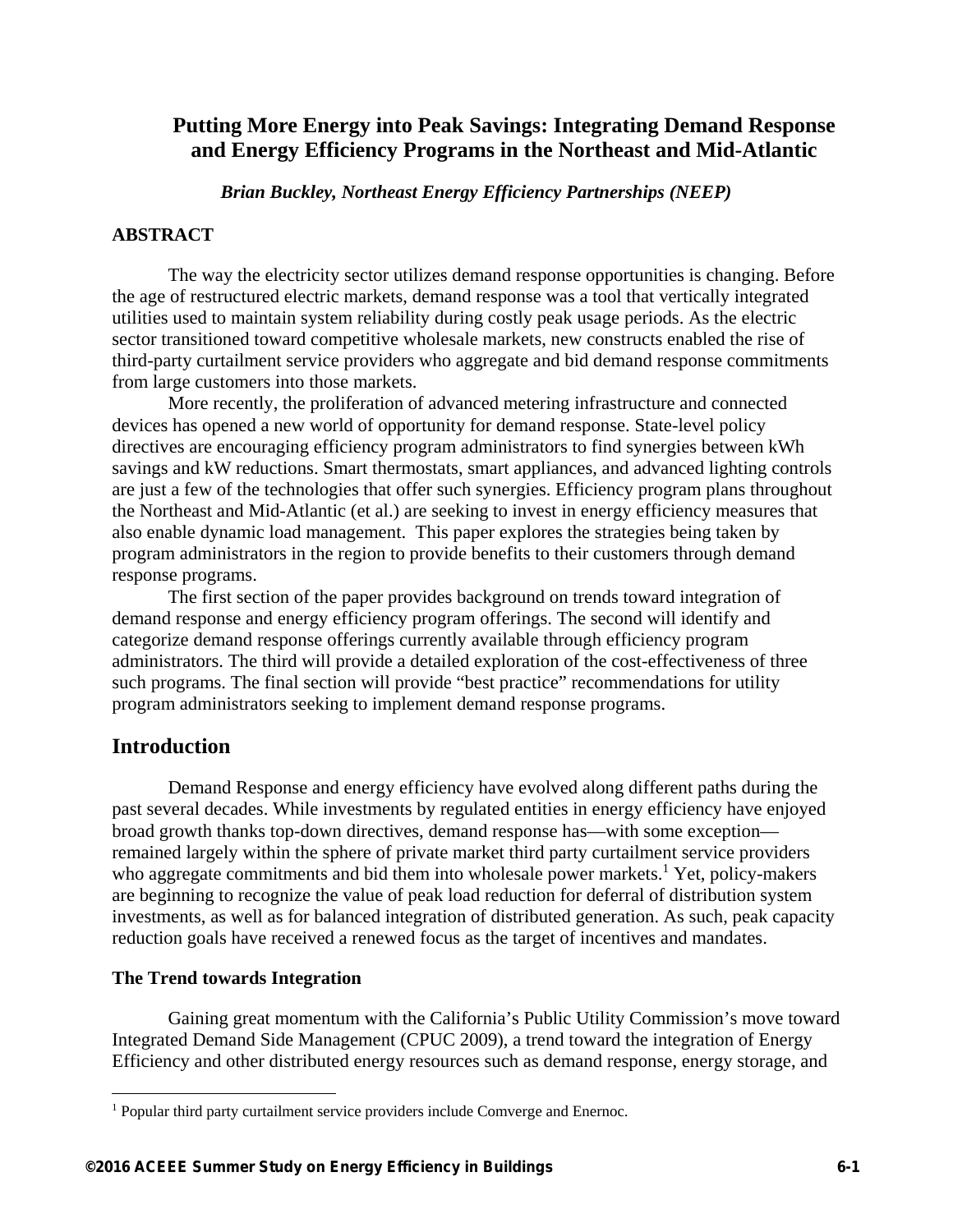# **Putting More Energy into Peak Savings: Integrating Demand Response and Energy Efficiency Programs in the Northeast and Mid-Atlantic**

*Brian Buckley, Northeast Energy Efficiency Partnerships (NEEP)* 

## **ABSTRACT**

The way the electricity sector utilizes demand response opportunities is changing. Before the age of restructured electric markets, demand response was a tool that vertically integrated utilities used to maintain system reliability during costly peak usage periods. As the electric sector transitioned toward competitive wholesale markets, new constructs enabled the rise of third-party curtailment service providers who aggregate and bid demand response commitments from large customers into those markets.

More recently, the proliferation of advanced metering infrastructure and connected devices has opened a new world of opportunity for demand response. State-level policy directives are encouraging efficiency program administrators to find synergies between kWh savings and kW reductions. Smart thermostats, smart appliances, and advanced lighting controls are just a few of the technologies that offer such synergies. Efficiency program plans throughout the Northeast and Mid-Atlantic (et al.) are seeking to invest in energy efficiency measures that also enable dynamic load management. This paper explores the strategies being taken by program administrators in the region to provide benefits to their customers through demand response programs.

The first section of the paper provides background on trends toward integration of demand response and energy efficiency program offerings. The second will identify and categorize demand response offerings currently available through efficiency program administrators. The third will provide a detailed exploration of the cost-effectiveness of three such programs. The final section will provide "best practice" recommendations for utility program administrators seeking to implement demand response programs.

## **Introduction**

 $\overline{a}$ 

Demand Response and energy efficiency have evolved along different paths during the past several decades. While investments by regulated entities in energy efficiency have enjoyed broad growth thanks top-down directives, demand response has—with some exception remained largely within the sphere of private market third party curtailment service providers who aggregate commitments and bid them into wholesale power markets.<sup>1</sup> Yet, policy-makers are beginning to recognize the value of peak load reduction for deferral of distribution system investments, as well as for balanced integration of distributed generation. As such, peak capacity reduction goals have received a renewed focus as the target of incentives and mandates.

## **The Trend towards Integration**

Gaining great momentum with the California's Public Utility Commission's move toward Integrated Demand Side Management (CPUC 2009), a trend toward the integration of Energy Efficiency and other distributed energy resources such as demand response, energy storage, and

<sup>&</sup>lt;sup>1</sup> Popular third party curtailment service providers include Comverge and Enernoc.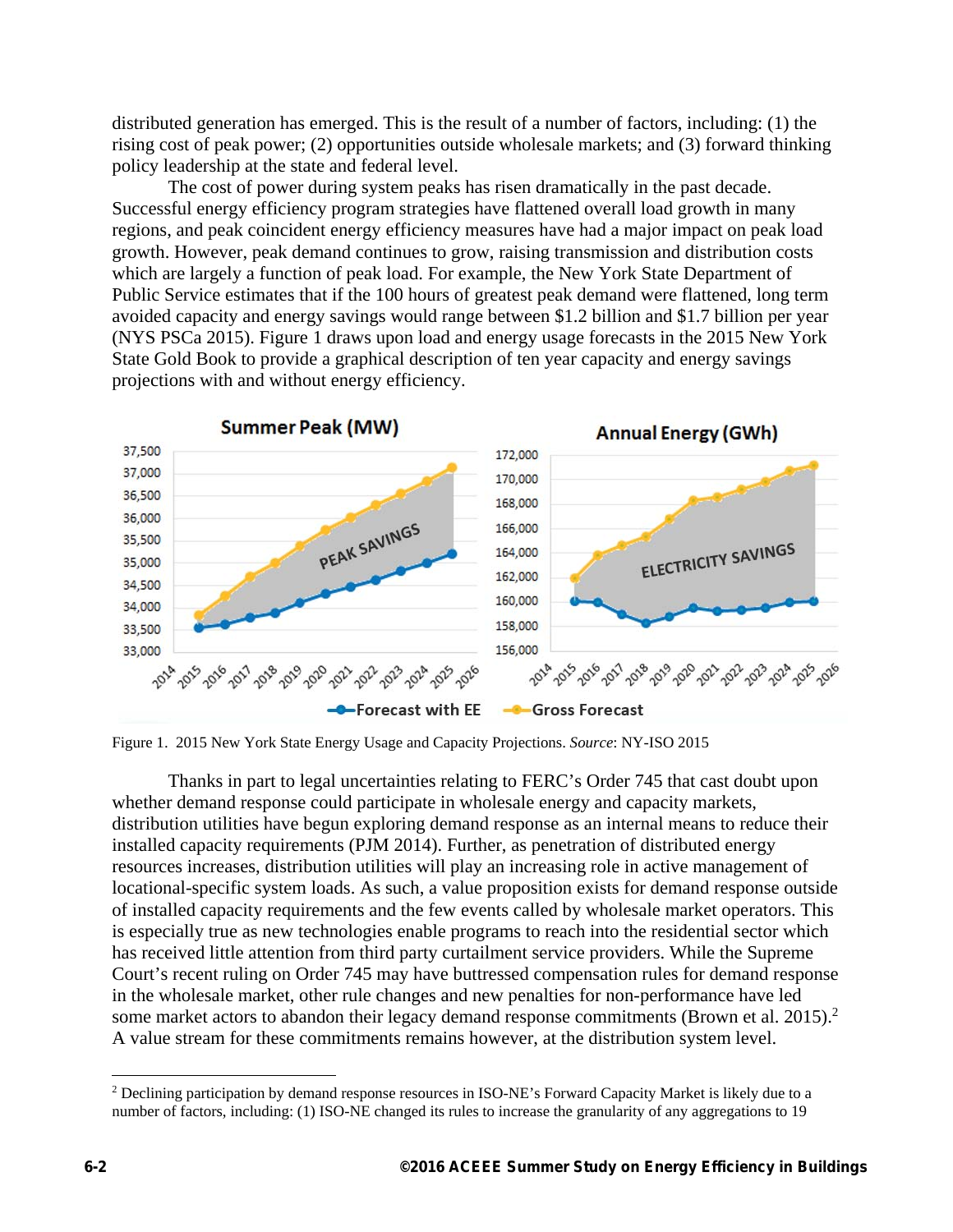distributed generation has emerged. This is the result of a number of factors, including: (1) the rising cost of peak power; (2) opportunities outside wholesale markets; and (3) forward thinking policy leadership at the state and federal level.

The cost of power during system peaks has risen dramatically in the past decade. Successful energy efficiency program strategies have flattened overall load growth in many regions, and peak coincident energy efficiency measures have had a major impact on peak load growth. However, peak demand continues to grow, raising transmission and distribution costs which are largely a function of peak load. For example, the New York State Department of Public Service estimates that if the 100 hours of greatest peak demand were flattened, long term avoided capacity and energy savings would range between \$1.2 billion and \$1.7 billion per year (NYS PSCa 2015). Figure 1 draws upon load and energy usage forecasts in the 2015 New York State Gold Book to provide a graphical description of ten year capacity and energy savings projections with and without energy efficiency.



Figure 1. 2015 New York State Energy Usage and Capacity Projections. *Source*: NY-ISO 2015

Thanks in part to legal uncertainties relating to FERC's Order 745 that cast doubt upon whether demand response could participate in wholesale energy and capacity markets, distribution utilities have begun exploring demand response as an internal means to reduce their installed capacity requirements (PJM 2014). Further, as penetration of distributed energy resources increases, distribution utilities will play an increasing role in active management of locational-specific system loads. As such, a value proposition exists for demand response outside of installed capacity requirements and the few events called by wholesale market operators. This is especially true as new technologies enable programs to reach into the residential sector which has received little attention from third party curtailment service providers. While the Supreme Court's recent ruling on Order 745 may have buttressed compensation rules for demand response in the wholesale market, other rule changes and new penalties for non-performance have led some market actors to abandon their legacy demand response commitments (Brown et al. 2015).<sup>2</sup> A value stream for these commitments remains however, at the distribution system level.

1

<sup>&</sup>lt;sup>2</sup> Declining participation by demand response resources in ISO-NE's Forward Capacity Market is likely due to a number of factors, including: (1) ISO-NE changed its rules to increase the granularity of any aggregations to 19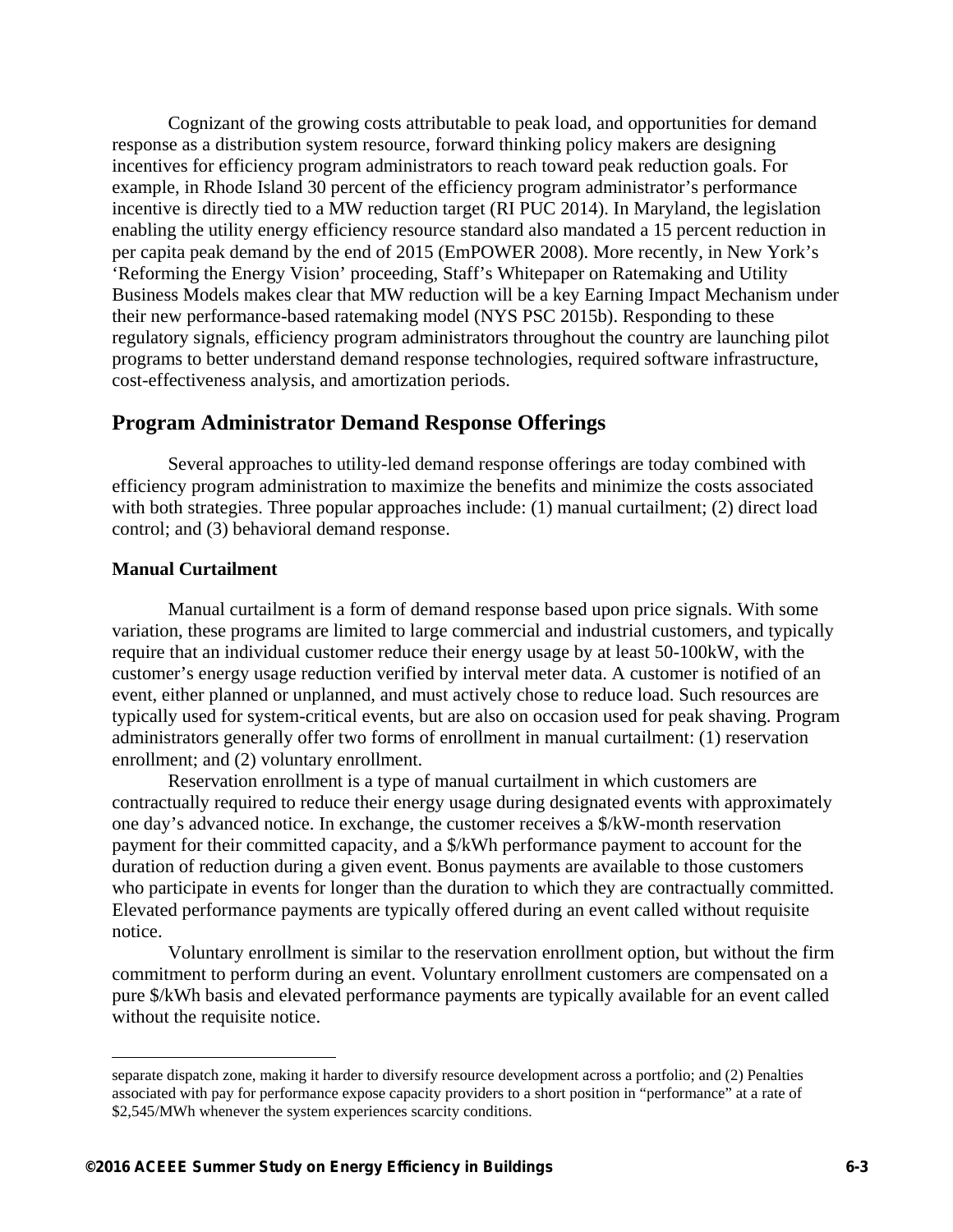Cognizant of the growing costs attributable to peak load, and opportunities for demand response as a distribution system resource, forward thinking policy makers are designing incentives for efficiency program administrators to reach toward peak reduction goals. For example, in Rhode Island 30 percent of the efficiency program administrator's performance incentive is directly tied to a MW reduction target (RI PUC 2014). In Maryland, the legislation enabling the utility energy efficiency resource standard also mandated a 15 percent reduction in per capita peak demand by the end of 2015 (EmPOWER 2008). More recently, in New York's 'Reforming the Energy Vision' proceeding, Staff's Whitepaper on Ratemaking and Utility Business Models makes clear that MW reduction will be a key Earning Impact Mechanism under their new performance-based ratemaking model (NYS PSC 2015b). Responding to these regulatory signals, efficiency program administrators throughout the country are launching pilot programs to better understand demand response technologies, required software infrastructure, cost-effectiveness analysis, and amortization periods.

## **Program Administrator Demand Response Offerings**

Several approaches to utility-led demand response offerings are today combined with efficiency program administration to maximize the benefits and minimize the costs associated with both strategies. Three popular approaches include: (1) manual curtailment; (2) direct load control; and (3) behavioral demand response.

#### **Manual Curtailment**

 $\overline{a}$ 

Manual curtailment is a form of demand response based upon price signals. With some variation, these programs are limited to large commercial and industrial customers, and typically require that an individual customer reduce their energy usage by at least 50-100kW, with the customer's energy usage reduction verified by interval meter data. A customer is notified of an event, either planned or unplanned, and must actively chose to reduce load. Such resources are typically used for system-critical events, but are also on occasion used for peak shaving. Program administrators generally offer two forms of enrollment in manual curtailment: (1) reservation enrollment; and (2) voluntary enrollment.

Reservation enrollment is a type of manual curtailment in which customers are contractually required to reduce their energy usage during designated events with approximately one day's advanced notice. In exchange, the customer receives a \$/kW-month reservation payment for their committed capacity, and a \$/kWh performance payment to account for the duration of reduction during a given event. Bonus payments are available to those customers who participate in events for longer than the duration to which they are contractually committed. Elevated performance payments are typically offered during an event called without requisite notice.

Voluntary enrollment is similar to the reservation enrollment option, but without the firm commitment to perform during an event. Voluntary enrollment customers are compensated on a pure \$/kWh basis and elevated performance payments are typically available for an event called without the requisite notice.

separate dispatch zone, making it harder to diversify resource development across a portfolio; and (2) Penalties associated with pay for performance expose capacity providers to a short position in "performance" at a rate of \$2,545/MWh whenever the system experiences scarcity conditions.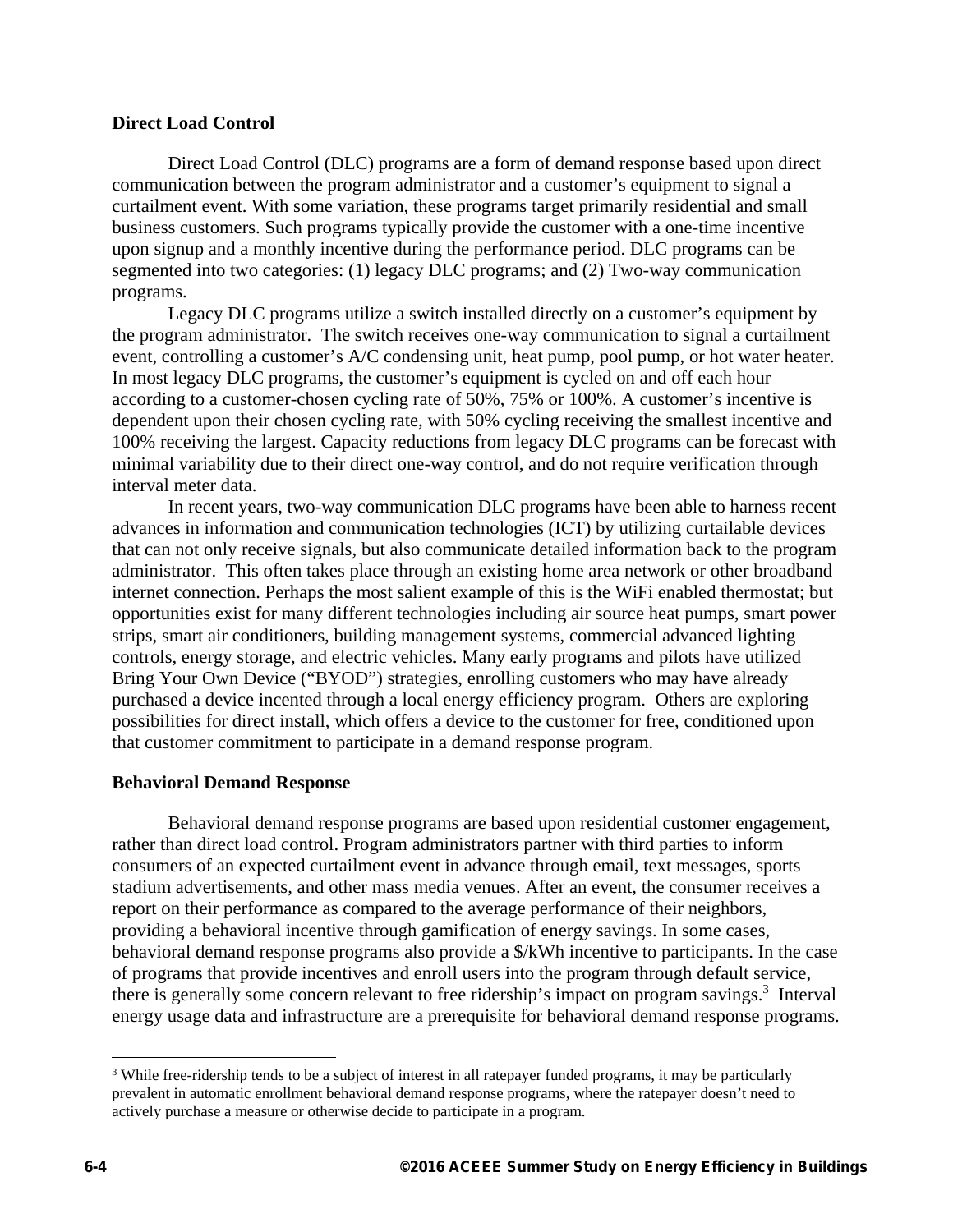#### **Direct Load Control**

Direct Load Control (DLC) programs are a form of demand response based upon direct communication between the program administrator and a customer's equipment to signal a curtailment event. With some variation, these programs target primarily residential and small business customers. Such programs typically provide the customer with a one-time incentive upon signup and a monthly incentive during the performance period. DLC programs can be segmented into two categories: (1) legacy DLC programs; and (2) Two-way communication programs.

Legacy DLC programs utilize a switch installed directly on a customer's equipment by the program administrator. The switch receives one-way communication to signal a curtailment event, controlling a customer's A/C condensing unit, heat pump, pool pump, or hot water heater. In most legacy DLC programs, the customer's equipment is cycled on and off each hour according to a customer-chosen cycling rate of 50%, 75% or 100%. A customer's incentive is dependent upon their chosen cycling rate, with 50% cycling receiving the smallest incentive and 100% receiving the largest. Capacity reductions from legacy DLC programs can be forecast with minimal variability due to their direct one-way control, and do not require verification through interval meter data.

In recent years, two-way communication DLC programs have been able to harness recent advances in information and communication technologies (ICT) by utilizing curtailable devices that can not only receive signals, but also communicate detailed information back to the program administrator. This often takes place through an existing home area network or other broadband internet connection. Perhaps the most salient example of this is the WiFi enabled thermostat; but opportunities exist for many different technologies including air source heat pumps, smart power strips, smart air conditioners, building management systems, commercial advanced lighting controls, energy storage, and electric vehicles. Many early programs and pilots have utilized Bring Your Own Device ("BYOD") strategies, enrolling customers who may have already purchased a device incented through a local energy efficiency program. Others are exploring possibilities for direct install, which offers a device to the customer for free, conditioned upon that customer commitment to participate in a demand response program.

## **Behavioral Demand Response**

Behavioral demand response programs are based upon residential customer engagement, rather than direct load control. Program administrators partner with third parties to inform consumers of an expected curtailment event in advance through email, text messages, sports stadium advertisements, and other mass media venues. After an event, the consumer receives a report on their performance as compared to the average performance of their neighbors, providing a behavioral incentive through gamification of energy savings. In some cases, behavioral demand response programs also provide a \$/kWh incentive to participants. In the case of programs that provide incentives and enroll users into the program through default service, there is generally some concern relevant to free ridership's impact on program savings.<sup>3</sup> Interval energy usage data and infrastructure are a prerequisite for behavioral demand response programs.

1

<sup>&</sup>lt;sup>3</sup> While free-ridership tends to be a subject of interest in all ratepayer funded programs, it may be particularly prevalent in automatic enrollment behavioral demand response programs, where the ratepayer doesn't need to actively purchase a measure or otherwise decide to participate in a program.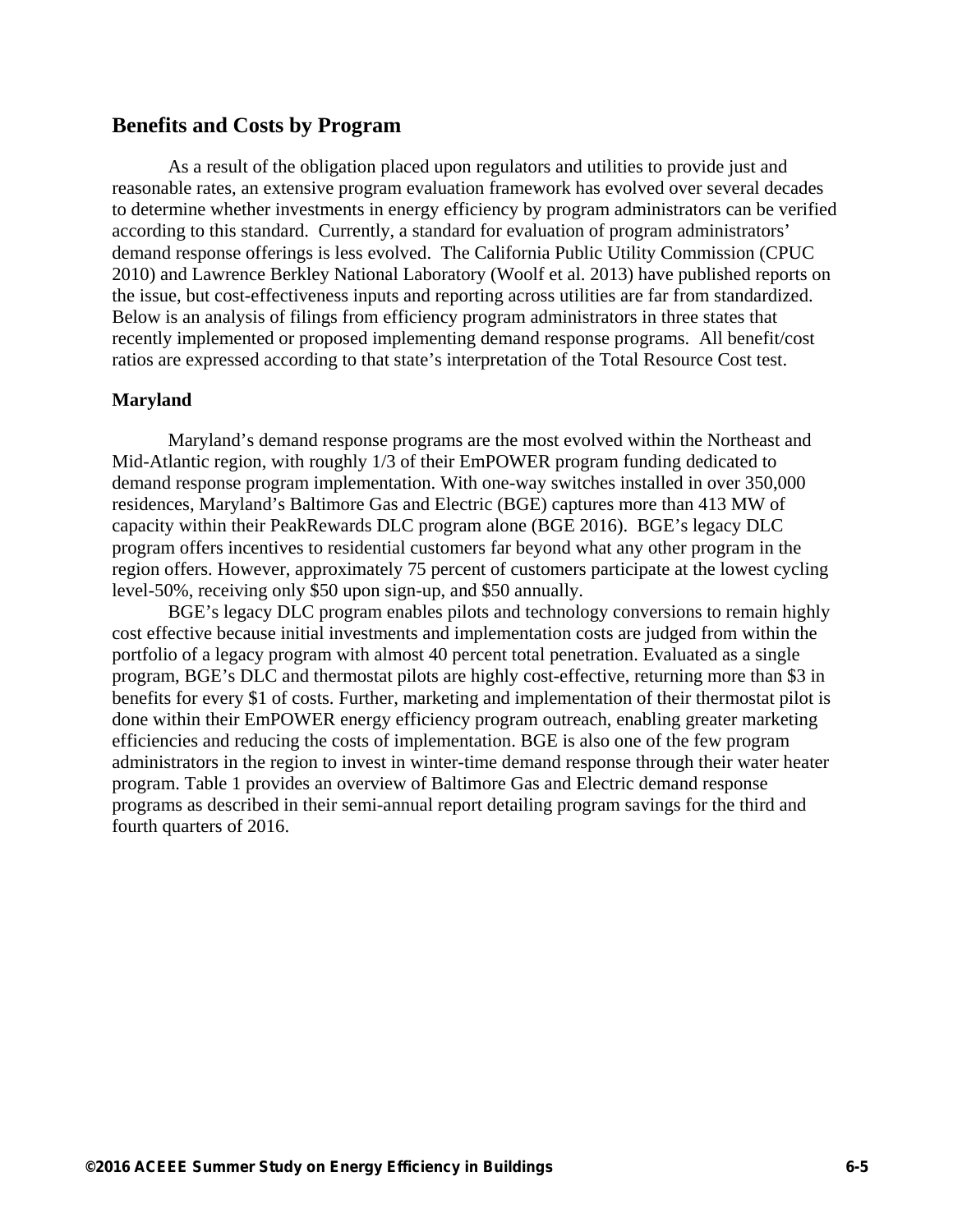## **Benefits and Costs by Program**

As a result of the obligation placed upon regulators and utilities to provide just and reasonable rates, an extensive program evaluation framework has evolved over several decades to determine whether investments in energy efficiency by program administrators can be verified according to this standard. Currently, a standard for evaluation of program administrators' demand response offerings is less evolved. The California Public Utility Commission (CPUC 2010) and Lawrence Berkley National Laboratory (Woolf et al. 2013) have published reports on the issue, but cost-effectiveness inputs and reporting across utilities are far from standardized. Below is an analysis of filings from efficiency program administrators in three states that recently implemented or proposed implementing demand response programs. All benefit/cost ratios are expressed according to that state's interpretation of the Total Resource Cost test.

#### **Maryland**

Maryland's demand response programs are the most evolved within the Northeast and Mid-Atlantic region, with roughly 1/3 of their EmPOWER program funding dedicated to demand response program implementation. With one-way switches installed in over 350,000 residences, Maryland's Baltimore Gas and Electric (BGE) captures more than 413 MW of capacity within their PeakRewards DLC program alone (BGE 2016). BGE's legacy DLC program offers incentives to residential customers far beyond what any other program in the region offers. However, approximately 75 percent of customers participate at the lowest cycling level-50%, receiving only \$50 upon sign-up, and \$50 annually.

BGE's legacy DLC program enables pilots and technology conversions to remain highly cost effective because initial investments and implementation costs are judged from within the portfolio of a legacy program with almost 40 percent total penetration. Evaluated as a single program, BGE's DLC and thermostat pilots are highly cost-effective, returning more than \$3 in benefits for every \$1 of costs. Further, marketing and implementation of their thermostat pilot is done within their EmPOWER energy efficiency program outreach, enabling greater marketing efficiencies and reducing the costs of implementation. BGE is also one of the few program administrators in the region to invest in winter-time demand response through their water heater program. Table 1 provides an overview of Baltimore Gas and Electric demand response programs as described in their semi-annual report detailing program savings for the third and fourth quarters of 2016.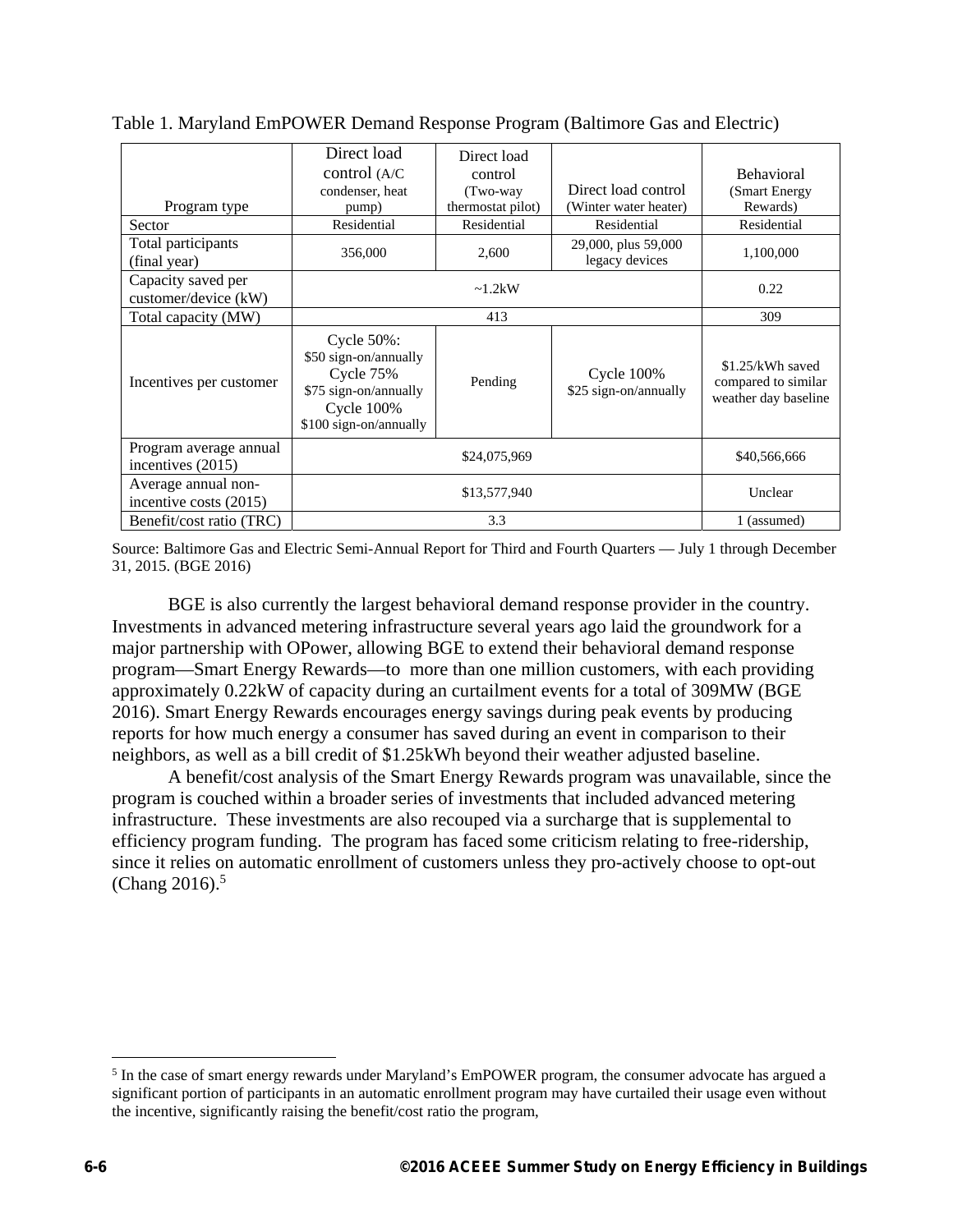|                                               | Direct load<br>control $(A/C)$<br>condenser, heat                                                                          | Direct load<br>control<br>(Two-way) | Direct load control                    | <b>Behavioral</b><br>(Smart Energy)                             |
|-----------------------------------------------|----------------------------------------------------------------------------------------------------------------------------|-------------------------------------|----------------------------------------|-----------------------------------------------------------------|
| Program type                                  | pump)                                                                                                                      | thermostat pilot)                   | (Winter water heater)                  | Rewards)                                                        |
| Sector                                        | Residential                                                                                                                | Residential                         | Residential                            | Residential                                                     |
| Total participants<br>(final year)            | 356,000                                                                                                                    | 2,600                               | 29,000, plus 59,000<br>legacy devices  | 1,100,000                                                       |
| Capacity saved per<br>customer/device (kW)    | $\sim 1.2$ kW                                                                                                              |                                     |                                        | 0.22                                                            |
| Total capacity (MW)                           |                                                                                                                            | 309                                 |                                        |                                                                 |
| Incentives per customer                       | Cycle 50%:<br>\$50 sign-on/annually<br>Cycle $75%$<br>\$75 sign-on/annually<br><b>Cycle 100%</b><br>\$100 sign-on/annually | Pending                             | Cycle $100\%$<br>\$25 sign-on/annually | \$1.25/kWh saved<br>compared to similar<br>weather day baseline |
| Program average annual<br>incentives $(2015)$ |                                                                                                                            | \$24,075,969                        |                                        | \$40,566,666                                                    |
| Average annual non-<br>incentive costs (2015) |                                                                                                                            | \$13,577,940                        |                                        | Unclear                                                         |
| Benefit/cost ratio (TRC)                      | 3.3                                                                                                                        |                                     |                                        | 1 (assumed)                                                     |

Table 1. Maryland EmPOWER Demand Response Program (Baltimore Gas and Electric)

Source: Baltimore Gas and Electric Semi-Annual Report for Third and Fourth Quarters — July 1 through December 31, 2015. (BGE 2016)

BGE is also currently the largest behavioral demand response provider in the country. Investments in advanced metering infrastructure several years ago laid the groundwork for a major partnership with OPower, allowing BGE to extend their behavioral demand response program—Smart Energy Rewards—to more than one million customers, with each providing approximately 0.22kW of capacity during an curtailment events for a total of 309MW (BGE 2016). Smart Energy Rewards encourages energy savings during peak events by producing reports for how much energy a consumer has saved during an event in comparison to their neighbors, as well as a bill credit of \$1.25kWh beyond their weather adjusted baseline.

A benefit/cost analysis of the Smart Energy Rewards program was unavailable, since the program is couched within a broader series of investments that included advanced metering infrastructure. These investments are also recouped via a surcharge that is supplemental to efficiency program funding. The program has faced some criticism relating to free-ridership, since it relies on automatic enrollment of customers unless they pro-actively choose to opt-out (Chang  $2016$ ).<sup>5</sup>

 $\overline{a}$ 

<sup>&</sup>lt;sup>5</sup> In the case of smart energy rewards under Maryland's EmPOWER program, the consumer advocate has argued a significant portion of participants in an automatic enrollment program may have curtailed their usage even without the incentive, significantly raising the benefit/cost ratio the program,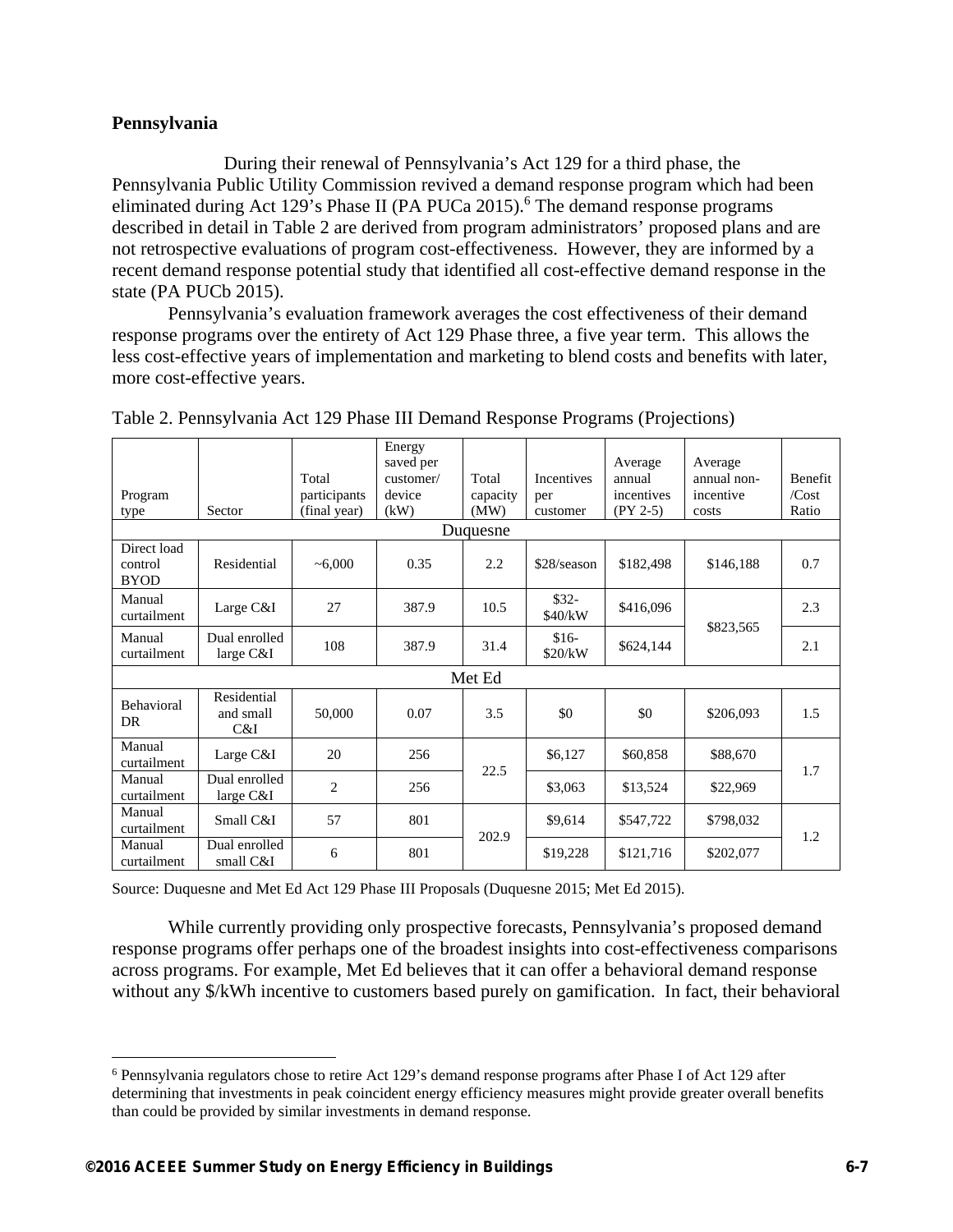## **Pennsylvania**

 During their renewal of Pennsylvania's Act 129 for a third phase, the Pennsylvania Public Utility Commission revived a demand response program which had been eliminated during Act 129's Phase II (PA PUCa 2015).<sup>6</sup> The demand response programs described in detail in Table 2 are derived from program administrators' proposed plans and are not retrospective evaluations of program cost-effectiveness. However, they are informed by a recent demand response potential study that identified all cost-effective demand response in the state (PA PUCb 2015).

Pennsylvania's evaluation framework averages the cost effectiveness of their demand response programs over the entirety of Act 129 Phase three, a five year term. This allows the less cost-effective years of implementation and marketing to blend costs and benefits with later, more cost-effective years.

| Program<br>type                       | Sector                          | Total<br>participants<br>(final year) | Energy<br>saved per<br>customer/<br>device<br>(kW) | Total<br>capacity<br>(MW) | <b>Incentives</b><br>per<br>customer | Average<br>annual<br>incentives<br>$(PY 2-5)$ | Average<br>annual non-<br>incentive<br>costs | Benefit<br>/Cost<br>Ratio |
|---------------------------------------|---------------------------------|---------------------------------------|----------------------------------------------------|---------------------------|--------------------------------------|-----------------------------------------------|----------------------------------------------|---------------------------|
|                                       |                                 |                                       |                                                    | Duquesne                  |                                      |                                               |                                              |                           |
| Direct load<br>control<br><b>BYOD</b> | Residential                     | ~1000                                 | 0.35                                               | 2.2                       | $$28$ /season                        | \$182,498                                     | \$146,188                                    | 0.7                       |
| Manual<br>curtailment                 | Large C&I                       | 27                                    | 387.9                                              | 10.5                      | $$32-$<br>\$40/kW                    | \$416,096                                     |                                              | 2.3                       |
| Manual<br>curtailment                 | Dual enrolled<br>large $C&I$    | 108                                   | 387.9                                              | 31.4                      | $$16-$<br>\$20/kW                    | \$624,144                                     | \$823,565                                    | 2.1                       |
| Met Ed                                |                                 |                                       |                                                    |                           |                                      |                                               |                                              |                           |
| Behavioral<br>DR                      | Residential<br>and small<br>C&I | 50,000                                | 0.07                                               | 3.5                       | \$0                                  | \$0                                           | \$206,093                                    | 1.5                       |
| Manual<br>curtailment                 | Large C&I                       | 20                                    | 256                                                | 22.5                      | \$6,127                              | \$60,858                                      | \$88,670                                     | 1.7                       |
| Manual<br>curtailment                 | Dual enrolled<br>large $C&I$    | $\overline{2}$                        | 256                                                |                           | \$3,063                              | \$13,524                                      | \$22,969                                     |                           |
| Manual<br>curtailment                 | Small C&I                       | 57                                    | 801                                                | 202.9                     | \$9,614                              | \$547,722                                     | \$798,032                                    | 1.2                       |
| Manual<br>curtailment                 | Dual enrolled<br>small C&I      | 6                                     | 801                                                |                           | \$19,228                             | \$121,716                                     | \$202,077                                    |                           |

|  | Table 2. Pennsylvania Act 129 Phase III Demand Response Programs (Projections) |  |
|--|--------------------------------------------------------------------------------|--|
|  |                                                                                |  |

Source: Duquesne and Met Ed Act 129 Phase III Proposals (Duquesne 2015; Met Ed 2015).

While currently providing only prospective forecasts, Pennsylvania's proposed demand response programs offer perhaps one of the broadest insights into cost-effectiveness comparisons across programs. For example, Met Ed believes that it can offer a behavioral demand response without any \$/kWh incentive to customers based purely on gamification. In fact, their behavioral

 $\overline{a}$ 

<sup>&</sup>lt;sup>6</sup> Pennsylvania regulators chose to retire Act 129's demand response programs after Phase I of Act 129 after determining that investments in peak coincident energy efficiency measures might provide greater overall benefits than could be provided by similar investments in demand response.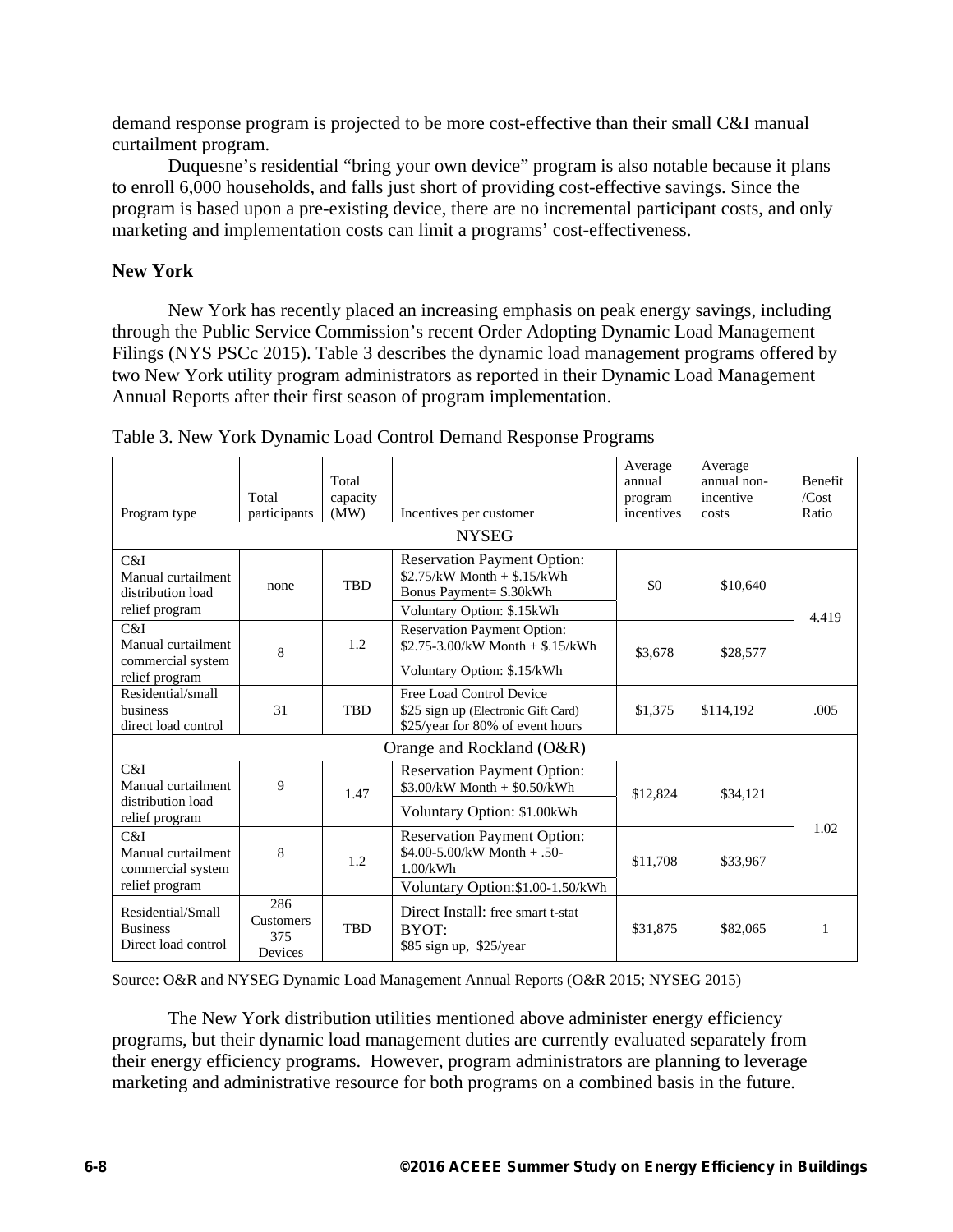demand response program is projected to be more cost-effective than their small C&I manual curtailment program.

Duquesne's residential "bring your own device" program is also notable because it plans to enroll 6,000 households, and falls just short of providing cost-effective savings. Since the program is based upon a pre-existing device, there are no incremental participant costs, and only marketing and implementation costs can limit a programs' cost-effectiveness.

## **New York**

New York has recently placed an increasing emphasis on peak energy savings, including through the Public Service Commission's recent Order Adopting Dynamic Load Management Filings (NYS PSCc 2015). Table 3 describes the dynamic load management programs offered by two New York utility program administrators as reported in their Dynamic Load Management Annual Reports after their first season of program implementation.

| Program type                                                                       | Total<br>participants              | Total<br>capacity<br>(MW) | Incentives per customer                                                                                                                | Average<br>annual<br>program<br>incentives | Average<br>annual non-<br>incentive<br>costs | <b>Benefit</b><br>/Cost<br>Ratio |  |
|------------------------------------------------------------------------------------|------------------------------------|---------------------------|----------------------------------------------------------------------------------------------------------------------------------------|--------------------------------------------|----------------------------------------------|----------------------------------|--|
| <b>NYSEG</b>                                                                       |                                    |                           |                                                                                                                                        |                                            |                                              |                                  |  |
| C&I<br>Manual curtailment<br>distribution load<br>relief program                   | none                               | <b>TBD</b>                | <b>Reservation Payment Option:</b><br>$$2.75/kW$ Month $+ $.15/kWh$<br>Bonus Payment= \$.30kWh                                         | \$0                                        | \$10,640                                     |                                  |  |
| C&I<br>Manual curtailment<br>commercial system<br>relief program                   | 8                                  | 1.2                       | Voluntary Option: \$.15 kWh<br><b>Reservation Payment Option:</b><br>\$2.75-3.00/kW Month $+$ \$.15/kWh<br>Voluntary Option: \$.15/kWh | \$3,678                                    | \$28,577                                     | 4.419                            |  |
| Residential/small<br>business<br>direct load control                               | 31                                 | <b>TBD</b>                | Free Load Control Device<br>\$25 sign up (Electronic Gift Card)<br>\$25/year for 80% of event hours                                    | \$1,375                                    | \$114,192                                    | .005                             |  |
| Orange and Rockland (O&R)                                                          |                                    |                           |                                                                                                                                        |                                            |                                              |                                  |  |
| C&I<br>Manual curtailment<br>distribution load                                     | 9                                  | 1.47                      | <b>Reservation Payment Option:</b><br>$$3.00/kW$ Month $+$ \$0.50/kWh<br>Voluntary Option: \$1.00kWh                                   | \$12,824                                   | \$34,121                                     |                                  |  |
| relief program<br>C&I<br>Manual curtailment<br>commercial system<br>relief program | 8                                  | 1.2                       | <b>Reservation Payment Option:</b><br>\$4.00-5.00/kW Month $+ .50$ -<br>1.00/kWh<br>Voluntary Option:\$1.00-1.50/kWh                   | \$11,708                                   | \$33,967                                     | 1.02                             |  |
| Residential/Small<br><b>Business</b><br>Direct load control                        | 286<br>Customers<br>375<br>Devices | <b>TBD</b>                | Direct Install: free smart t-stat<br>BYOT:<br>\$85 sign up, \$25/year                                                                  | \$31,875                                   | \$82,065                                     | 1                                |  |

Table 3. New York Dynamic Load Control Demand Response Programs

Source: O&R and NYSEG Dynamic Load Management Annual Reports (O&R 2015; NYSEG 2015)

The New York distribution utilities mentioned above administer energy efficiency programs, but their dynamic load management duties are currently evaluated separately from their energy efficiency programs. However, program administrators are planning to leverage marketing and administrative resource for both programs on a combined basis in the future.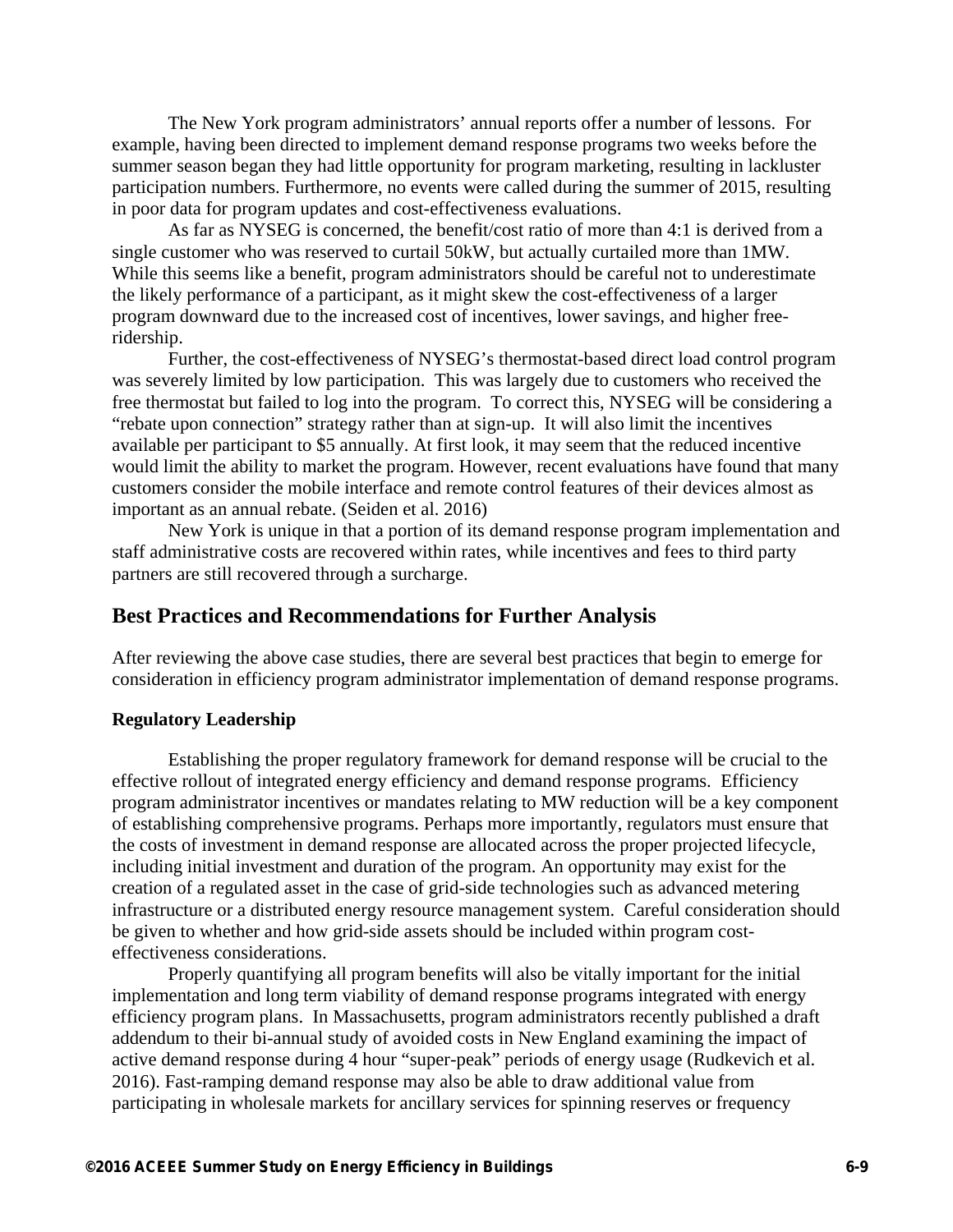The New York program administrators' annual reports offer a number of lessons. For example, having been directed to implement demand response programs two weeks before the summer season began they had little opportunity for program marketing, resulting in lackluster participation numbers. Furthermore, no events were called during the summer of 2015, resulting in poor data for program updates and cost-effectiveness evaluations.

As far as NYSEG is concerned, the benefit/cost ratio of more than 4:1 is derived from a single customer who was reserved to curtail 50kW, but actually curtailed more than 1MW. While this seems like a benefit, program administrators should be careful not to underestimate the likely performance of a participant, as it might skew the cost-effectiveness of a larger program downward due to the increased cost of incentives, lower savings, and higher freeridership.

Further, the cost-effectiveness of NYSEG's thermostat-based direct load control program was severely limited by low participation. This was largely due to customers who received the free thermostat but failed to log into the program. To correct this, NYSEG will be considering a "rebate upon connection" strategy rather than at sign-up. It will also limit the incentives available per participant to \$5 annually. At first look, it may seem that the reduced incentive would limit the ability to market the program. However, recent evaluations have found that many customers consider the mobile interface and remote control features of their devices almost as important as an annual rebate. (Seiden et al. 2016)

 New York is unique in that a portion of its demand response program implementation and staff administrative costs are recovered within rates, while incentives and fees to third party partners are still recovered through a surcharge.

## **Best Practices and Recommendations for Further Analysis**

After reviewing the above case studies, there are several best practices that begin to emerge for consideration in efficiency program administrator implementation of demand response programs.

#### **Regulatory Leadership**

Establishing the proper regulatory framework for demand response will be crucial to the effective rollout of integrated energy efficiency and demand response programs. Efficiency program administrator incentives or mandates relating to MW reduction will be a key component of establishing comprehensive programs. Perhaps more importantly, regulators must ensure that the costs of investment in demand response are allocated across the proper projected lifecycle, including initial investment and duration of the program. An opportunity may exist for the creation of a regulated asset in the case of grid-side technologies such as advanced metering infrastructure or a distributed energy resource management system. Careful consideration should be given to whether and how grid-side assets should be included within program costeffectiveness considerations.

Properly quantifying all program benefits will also be vitally important for the initial implementation and long term viability of demand response programs integrated with energy efficiency program plans. In Massachusetts, program administrators recently published a draft addendum to their bi-annual study of avoided costs in New England examining the impact of active demand response during 4 hour "super-peak" periods of energy usage (Rudkevich et al. 2016). Fast-ramping demand response may also be able to draw additional value from participating in wholesale markets for ancillary services for spinning reserves or frequency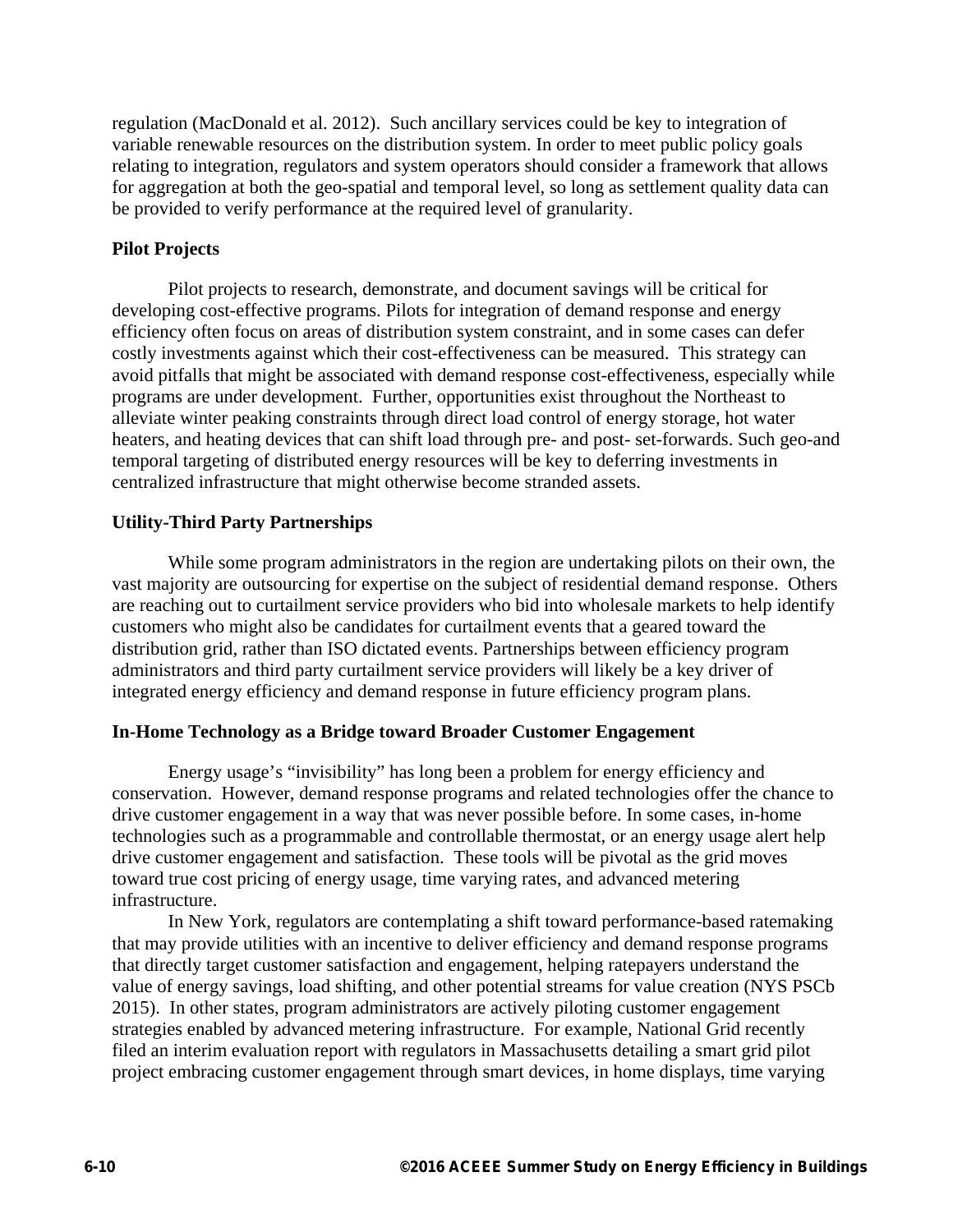regulation (MacDonald et al. 2012). Such ancillary services could be key to integration of variable renewable resources on the distribution system. In order to meet public policy goals relating to integration, regulators and system operators should consider a framework that allows for aggregation at both the geo-spatial and temporal level, so long as settlement quality data can be provided to verify performance at the required level of granularity.

### **Pilot Projects**

Pilot projects to research, demonstrate, and document savings will be critical for developing cost-effective programs. Pilots for integration of demand response and energy efficiency often focus on areas of distribution system constraint, and in some cases can defer costly investments against which their cost-effectiveness can be measured. This strategy can avoid pitfalls that might be associated with demand response cost-effectiveness, especially while programs are under development. Further, opportunities exist throughout the Northeast to alleviate winter peaking constraints through direct load control of energy storage, hot water heaters, and heating devices that can shift load through pre- and post- set-forwards. Such geo-and temporal targeting of distributed energy resources will be key to deferring investments in centralized infrastructure that might otherwise become stranded assets.

## **Utility-Third Party Partnerships**

While some program administrators in the region are undertaking pilots on their own, the vast majority are outsourcing for expertise on the subject of residential demand response. Others are reaching out to curtailment service providers who bid into wholesale markets to help identify customers who might also be candidates for curtailment events that a geared toward the distribution grid, rather than ISO dictated events. Partnerships between efficiency program administrators and third party curtailment service providers will likely be a key driver of integrated energy efficiency and demand response in future efficiency program plans.

#### **In-Home Technology as a Bridge toward Broader Customer Engagement**

Energy usage's "invisibility" has long been a problem for energy efficiency and conservation. However, demand response programs and related technologies offer the chance to drive customer engagement in a way that was never possible before. In some cases, in-home technologies such as a programmable and controllable thermostat, or an energy usage alert help drive customer engagement and satisfaction. These tools will be pivotal as the grid moves toward true cost pricing of energy usage, time varying rates, and advanced metering infrastructure.

In New York, regulators are contemplating a shift toward performance-based ratemaking that may provide utilities with an incentive to deliver efficiency and demand response programs that directly target customer satisfaction and engagement, helping ratepayers understand the value of energy savings, load shifting, and other potential streams for value creation (NYS PSCb 2015). In other states, program administrators are actively piloting customer engagement strategies enabled by advanced metering infrastructure. For example, National Grid recently filed an interim evaluation report with regulators in Massachusetts detailing a smart grid pilot project embracing customer engagement through smart devices, in home displays, time varying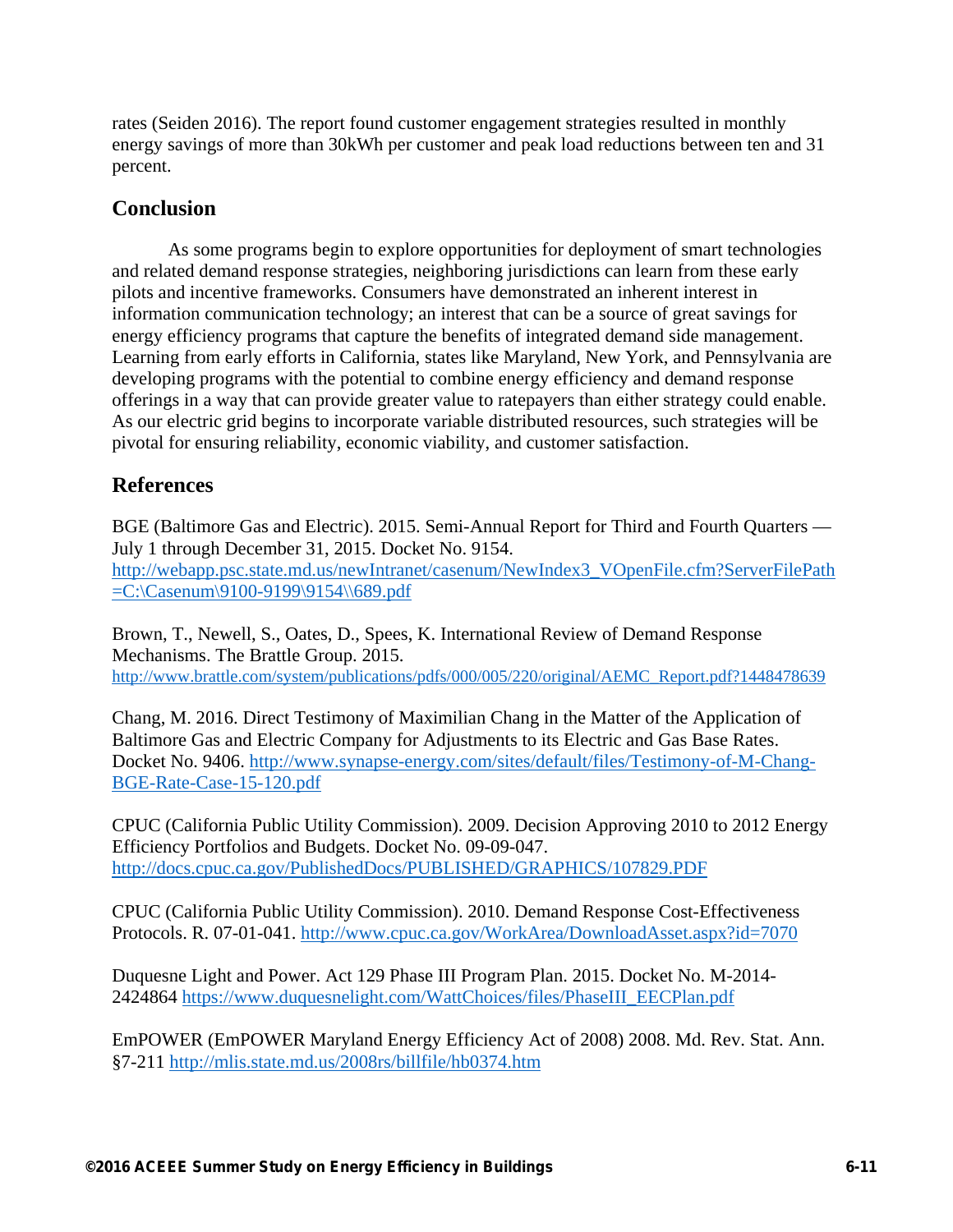rates (Seiden 2016). The report found customer engagement strategies resulted in monthly energy savings of more than 30kWh per customer and peak load reductions between ten and 31 percent.

# **Conclusion**

As some programs begin to explore opportunities for deployment of smart technologies and related demand response strategies, neighboring jurisdictions can learn from these early pilots and incentive frameworks. Consumers have demonstrated an inherent interest in information communication technology; an interest that can be a source of great savings for energy efficiency programs that capture the benefits of integrated demand side management. Learning from early efforts in California, states like Maryland, New York, and Pennsylvania are developing programs with the potential to combine energy efficiency and demand response offerings in a way that can provide greater value to ratepayers than either strategy could enable. As our electric grid begins to incorporate variable distributed resources, such strategies will be pivotal for ensuring reliability, economic viability, and customer satisfaction.

# **References**

BGE (Baltimore Gas and Electric). 2015. Semi-Annual Report for Third and Fourth Quarters — July 1 through December 31, 2015. Docket No. 9154. http://webapp.psc.state.md.us/newIntranet/casenum/NewIndex3\_VOpenFile.cfm?ServerFilePath =C:\Casenum\9100-9199\9154\\689.pdf

Brown, T., Newell, S., Oates, D., Spees, K. International Review of Demand Response Mechanisms. The Brattle Group. 2015. http://www.brattle.com/system/publications/pdfs/000/005/220/original/AEMC\_Report.pdf?1448478639

Chang, M. 2016. Direct Testimony of Maximilian Chang in the Matter of the Application of Baltimore Gas and Electric Company for Adjustments to its Electric and Gas Base Rates. Docket No. 9406. http://www.synapse-energy.com/sites/default/files/Testimony-of-M-Chang-BGE-Rate-Case-15-120.pdf

CPUC (California Public Utility Commission). 2009. Decision Approving 2010 to 2012 Energy Efficiency Portfolios and Budgets. Docket No. 09-09-047. http://docs.cpuc.ca.gov/PublishedDocs/PUBLISHED/GRAPHICS/107829.PDF

CPUC (California Public Utility Commission). 2010. Demand Response Cost-Effectiveness Protocols. R. 07-01-041. http://www.cpuc.ca.gov/WorkArea/DownloadAsset.aspx?id=7070

Duquesne Light and Power. Act 129 Phase III Program Plan. 2015. Docket No. M-2014- 2424864 https://www.duquesnelight.com/WattChoices/files/PhaseIII\_EECPlan.pdf

EmPOWER (EmPOWER Maryland Energy Efficiency Act of 2008) 2008. Md. Rev. Stat. Ann. §7-211 http://mlis.state.md.us/2008rs/billfile/hb0374.htm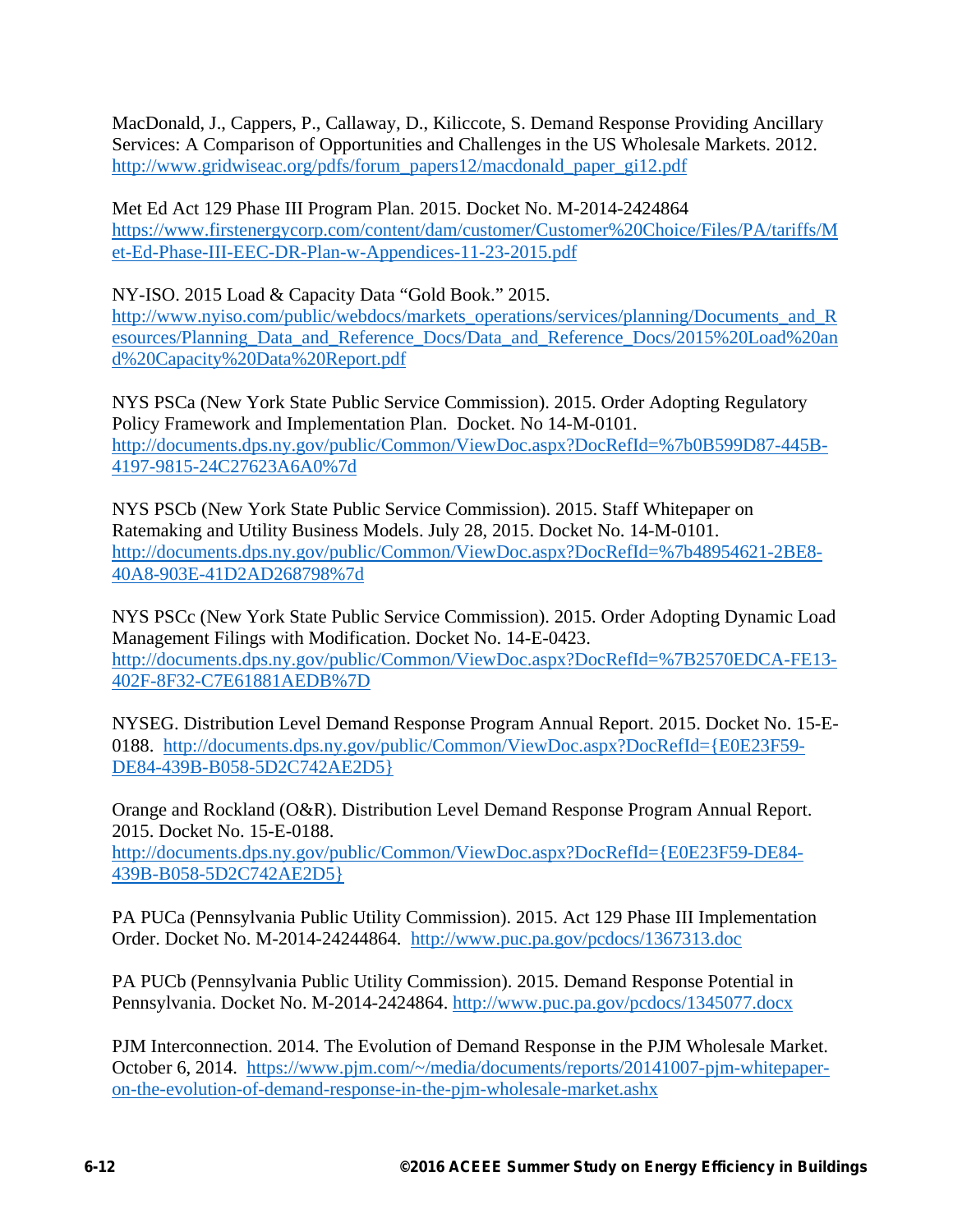MacDonald, J., Cappers, P., Callaway, D., Kiliccote, S. Demand Response Providing Ancillary Services: A Comparison of Opportunities and Challenges in the US Wholesale Markets. 2012. http://www.gridwiseac.org/pdfs/forum\_papers12/macdonald\_paper\_gi12.pdf

Met Ed Act 129 Phase III Program Plan. 2015. Docket No. M-2014-2424864 https://www.firstenergycorp.com/content/dam/customer/Customer%20Choice/Files/PA/tariffs/M et-Ed-Phase-III-EEC-DR-Plan-w-Appendices-11-23-2015.pdf

NY-ISO. 2015 Load & Capacity Data "Gold Book." 2015.

http://www.nyiso.com/public/webdocs/markets\_operations/services/planning/Documents\_and\_R esources/Planning\_Data\_and\_Reference\_Docs/Data\_and\_Reference\_Docs/2015%20Load%20an d%20Capacity%20Data%20Report.pdf

NYS PSCa (New York State Public Service Commission). 2015. Order Adopting Regulatory Policy Framework and Implementation Plan. Docket. No 14-M-0101. http://documents.dps.ny.gov/public/Common/ViewDoc.aspx?DocRefId=%7b0B599D87-445B-4197-9815-24C27623A6A0%7d

NYS PSCb (New York State Public Service Commission). 2015. Staff Whitepaper on Ratemaking and Utility Business Models. July 28, 2015. Docket No. 14-M-0101. http://documents.dps.ny.gov/public/Common/ViewDoc.aspx?DocRefId=%7b48954621-2BE8- 40A8-903E-41D2AD268798%7d

NYS PSCc (New York State Public Service Commission). 2015. Order Adopting Dynamic Load Management Filings with Modification. Docket No. 14-E-0423. http://documents.dps.ny.gov/public/Common/ViewDoc.aspx?DocRefId=%7B2570EDCA-FE13- 402F-8F32-C7E61881AEDB%7D

NYSEG. Distribution Level Demand Response Program Annual Report. 2015. Docket No. 15-E-0188. http://documents.dps.ny.gov/public/Common/ViewDoc.aspx?DocRefId={E0E23F59- DE84-439B-B058-5D2C742AE2D5}

Orange and Rockland (O&R). Distribution Level Demand Response Program Annual Report. 2015. Docket No. 15-E-0188. http://documents.dps.ny.gov/public/Common/ViewDoc.aspx?DocRefId={E0E23F59-DE84- 439B-B058-5D2C742AE2D5}

PA PUCa (Pennsylvania Public Utility Commission). 2015. Act 129 Phase III Implementation Order. Docket No. M-2014-24244864. http://www.puc.pa.gov/pcdocs/1367313.doc

PA PUCb (Pennsylvania Public Utility Commission). 2015. Demand Response Potential in Pennsylvania. Docket No. M-2014-2424864. http://www.puc.pa.gov/pcdocs/1345077.docx

PJM Interconnection. 2014. The Evolution of Demand Response in the PJM Wholesale Market. October 6, 2014. https://www.pjm.com/~/media/documents/reports/20141007-pjm-whitepaperon-the-evolution-of-demand-response-in-the-pjm-wholesale-market.ashx